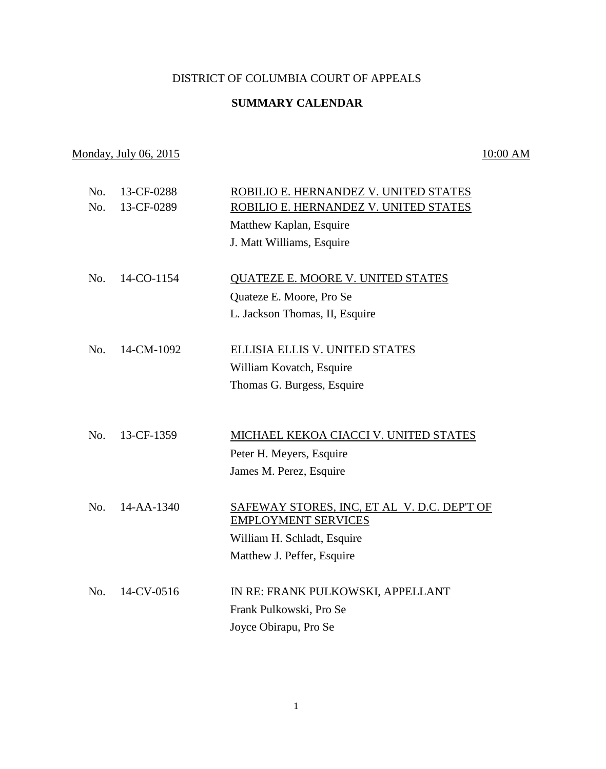### DISTRICT OF COLUMBIA COURT OF APPEALS

## **SUMMARY CALENDAR**

# Monday, July 06, 2015 10:00 AM

| No.<br>No. | 13-CF-0288<br>13-CF-0289 | ROBILIO E. HERNANDEZ V. UNITED STATES       |
|------------|--------------------------|---------------------------------------------|
|            |                          | ROBILIO E. HERNANDEZ V. UNITED STATES       |
|            |                          | Matthew Kaplan, Esquire                     |
|            |                          | J. Matt Williams, Esquire                   |
| No.        | 14-CO-1154               | <b>QUATEZE E. MOORE V. UNITED STATES</b>    |
|            |                          | Quateze E. Moore, Pro Se                    |
|            |                          | L. Jackson Thomas, II, Esquire              |
|            |                          |                                             |
| No.        | 14-CM-1092               | ELLISIA ELLIS V. UNITED STATES              |
|            |                          | William Kovatch, Esquire                    |
|            |                          | Thomas G. Burgess, Esquire                  |
|            |                          |                                             |
|            |                          |                                             |
| No.        | 13-CF-1359               | MICHAEL KEKOA CIACCI V. UNITED STATES       |
|            |                          | Peter H. Meyers, Esquire                    |
|            |                          | James M. Perez, Esquire                     |
|            |                          |                                             |
| No.        | $14 - AA - 1340$         | SAFEWAY STORES, INC, ET AL V. D.C. DEP'T OF |
|            |                          | <b>EMPLOYMENT SERVICES</b>                  |
|            |                          | William H. Schladt, Esquire                 |
|            |                          | Matthew J. Peffer, Esquire                  |
|            |                          |                                             |
| No.        | 14-CV-0516               | IN RE: FRANK PULKOWSKI, APPELLANT           |
|            |                          | Frank Pulkowski, Pro Se                     |
|            |                          | Joyce Obirapu, Pro Se                       |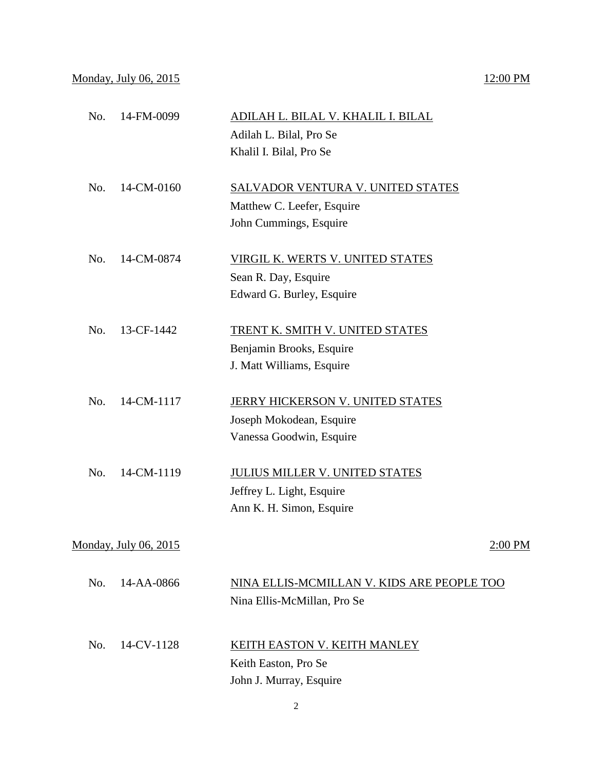## Monday, July 06, 2015 12:00 PM

| No. | 14-FM-0099            | ADILAH L. BILAL V. KHALIL I. BILAL<br>Adilah L. Bilal, Pro Se<br>Khalil I. Bilal, Pro Se         |
|-----|-----------------------|--------------------------------------------------------------------------------------------------|
| No. | 14-CM-0160            | <b>SALVADOR VENTURA V. UNITED STATES</b><br>Matthew C. Leefer, Esquire<br>John Cummings, Esquire |
| No. | 14-CM-0874            | <b>VIRGIL K. WERTS V. UNITED STATES</b><br>Sean R. Day, Esquire<br>Edward G. Burley, Esquire     |
| No. | 13-CF-1442            | TRENT K. SMITH V. UNITED STATES<br>Benjamin Brooks, Esquire<br>J. Matt Williams, Esquire         |
| No. | 14-CM-1117            | JERRY HICKERSON V. UNITED STATES<br>Joseph Mokodean, Esquire<br>Vanessa Goodwin, Esquire         |
| No. | 14-CM-1119            | <b>JULIUS MILLER V. UNITED STATES</b><br>Jeffrey L. Light, Esquire<br>Ann K. H. Simon, Esquire   |
|     | Monday, July 06, 2015 | 2:00 PM                                                                                          |
| No. | 14-AA-0866            | NINA ELLIS-MCMILLAN V. KIDS ARE PEOPLE TOO<br>Nina Ellis-McMillan, Pro Se                        |
| No. | 14-CV-1128            | KEITH EASTON V. KEITH MANLEY<br>Keith Easton, Pro Se<br>John J. Murray, Esquire                  |